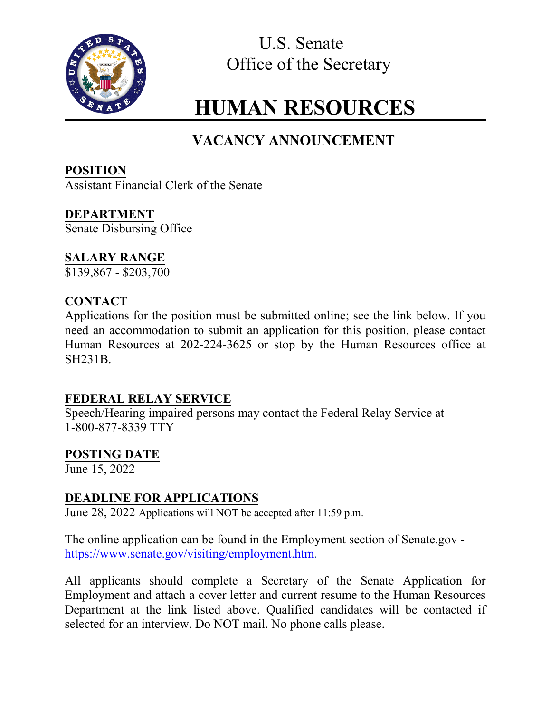

U.S. Senate Office of the Secretary

# **HUMAN RESOURCES**

# **VACANCY ANNOUNCEMENT**

**POSITION** Assistant Financial Clerk of the Senate

**DEPARTMENT** Senate Disbursing Office

# **SALARY RANGE**

 $\overline{$}3139,867 - $203,700$ 

# **CONTACT**

Applications for the position must be submitted online; see the link below. If you need an accommodation to submit an application for this position, please contact Human Resources at 202-224-3625 or stop by the Human Resources office at SH231B.

## **FEDERAL RELAY SERVICE**

Speech/Hearing impaired persons may contact the Federal Relay Service at 1-800-877-8339 TTY

## **POSTING DATE**

June 15, 2022

# **DEADLINE FOR APPLICATIONS**

June 28, 2022 Applications will NOT be accepted after 11:59 p.m.

The online application can be found in the Employment section of Senate.gov https://www.senate.gov/visiting/employment.htm.

All applicants should complete a Secretary of the Senate Application for Employment and attach a cover letter and current resume to the Human Resources Department at the link listed above. Qualified candidates will be contacted if selected for an interview. Do NOT mail. No phone calls please.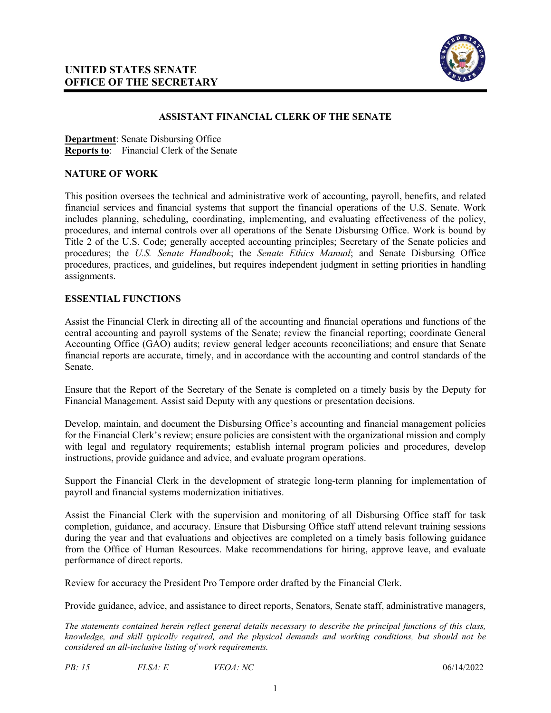

#### **ASSISTANT FINANCIAL CLERK OF THE SENATE**

**Department**: Senate Disbursing Office **Reports to**: Financial Clerk of the Senate

#### **NATURE OF WORK**

This position oversees the technical and administrative work of accounting, payroll, benefits, and related financial services and financial systems that support the financial operations of the U.S. Senate. Work includes planning, scheduling, coordinating, implementing, and evaluating effectiveness of the policy, procedures, and internal controls over all operations of the Senate Disbursing Office. Work is bound by Title 2 of the U.S. Code; generally accepted accounting principles; Secretary of the Senate policies and procedures; the *U.S. Senate Handbook*; the *Senate Ethics Manual*; and Senate Disbursing Office procedures, practices, and guidelines, but requires independent judgment in setting priorities in handling assignments.

#### **ESSENTIAL FUNCTIONS**

Assist the Financial Clerk in directing all of the accounting and financial operations and functions of the central accounting and payroll systems of the Senate; review the financial reporting; coordinate General Accounting Office (GAO) audits; review general ledger accounts reconciliations; and ensure that Senate financial reports are accurate, timely, and in accordance with the accounting and control standards of the Senate.

Ensure that the Report of the Secretary of the Senate is completed on a timely basis by the Deputy for Financial Management. Assist said Deputy with any questions or presentation decisions.

Develop, maintain, and document the Disbursing Office's accounting and financial management policies for the Financial Clerk's review; ensure policies are consistent with the organizational mission and comply with legal and regulatory requirements; establish internal program policies and procedures, develop instructions, provide guidance and advice, and evaluate program operations.

Support the Financial Clerk in the development of strategic long-term planning for implementation of payroll and financial systems modernization initiatives.

Assist the Financial Clerk with the supervision and monitoring of all Disbursing Office staff for task completion, guidance, and accuracy. Ensure that Disbursing Office staff attend relevant training sessions during the year and that evaluations and objectives are completed on a timely basis following guidance from the Office of Human Resources. Make recommendations for hiring, approve leave, and evaluate performance of direct reports.

Review for accuracy the President Pro Tempore order drafted by the Financial Clerk.

Provide guidance, advice, and assistance to direct reports, Senators, Senate staff, administrative managers,

*The statements contained herein reflect general details necessary to describe the principal functions of this class, knowledge, and skill typically required, and the physical demands and working conditions, but should not be considered an all-inclusive listing of work requirements.*

*PB: 15 FLSA: E VEOA: NC* 06/14/2022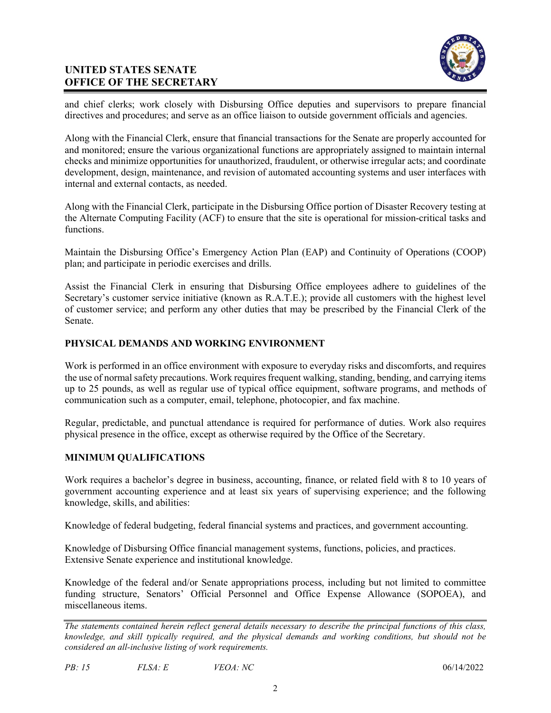#### **UNITED STATES SENATE OFFICE OF THE SECRETARY**



and chief clerks; work closely with Disbursing Office deputies and supervisors to prepare financial directives and procedures; and serve as an office liaison to outside government officials and agencies.

Along with the Financial Clerk, ensure that financial transactions for the Senate are properly accounted for and monitored; ensure the various organizational functions are appropriately assigned to maintain internal checks and minimize opportunities for unauthorized, fraudulent, or otherwise irregular acts; and coordinate development, design, maintenance, and revision of automated accounting systems and user interfaces with internal and external contacts, as needed.

Along with the Financial Clerk, participate in the Disbursing Office portion of Disaster Recovery testing at the Alternate Computing Facility (ACF) to ensure that the site is operational for mission-critical tasks and functions.

Maintain the Disbursing Office's Emergency Action Plan (EAP) and Continuity of Operations (COOP) plan; and participate in periodic exercises and drills.

Assist the Financial Clerk in ensuring that Disbursing Office employees adhere to guidelines of the Secretary's customer service initiative (known as R.A.T.E.); provide all customers with the highest level of customer service; and perform any other duties that may be prescribed by the Financial Clerk of the Senate.

#### **PHYSICAL DEMANDS AND WORKING ENVIRONMENT**

Work is performed in an office environment with exposure to everyday risks and discomforts, and requires the use of normal safety precautions. Work requires frequent walking, standing, bending, and carrying items up to 25 pounds, as well as regular use of typical office equipment, software programs, and methods of communication such as a computer, email, telephone, photocopier, and fax machine.

Regular, predictable, and punctual attendance is required for performance of duties. Work also requires physical presence in the office, except as otherwise required by the Office of the Secretary.

#### **MINIMUM QUALIFICATIONS**

Work requires a bachelor's degree in business, accounting, finance, or related field with 8 to 10 years of government accounting experience and at least six years of supervising experience; and the following knowledge, skills, and abilities:

Knowledge of federal budgeting, federal financial systems and practices, and government accounting.

Knowledge of Disbursing Office financial management systems, functions, policies, and practices. Extensive Senate experience and institutional knowledge.

Knowledge of the federal and/or Senate appropriations process, including but not limited to committee funding structure, Senators' Official Personnel and Office Expense Allowance (SOPOEA), and miscellaneous items.

*PB: 15 FLSA: E VEOA: NC* 06/14/2022

*The statements contained herein reflect general details necessary to describe the principal functions of this class, knowledge, and skill typically required, and the physical demands and working conditions, but should not be considered an all-inclusive listing of work requirements.*